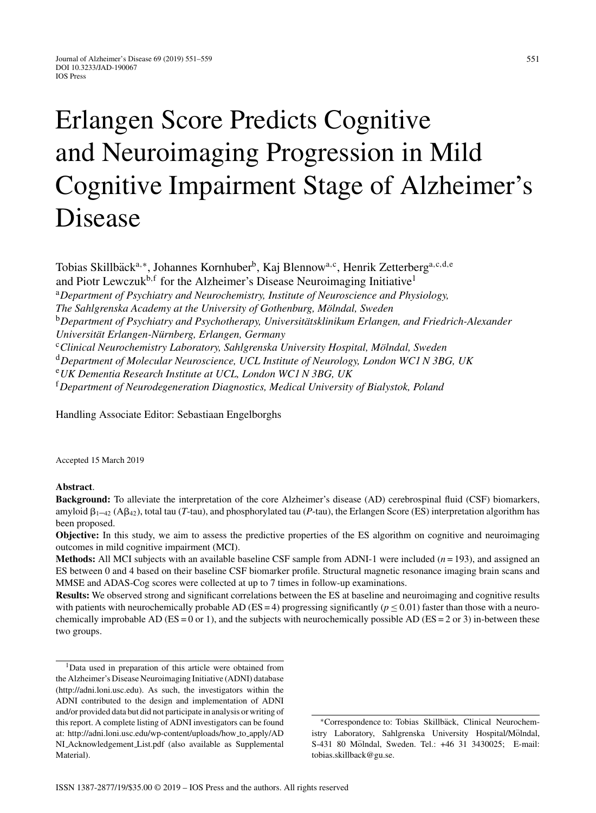# Erlangen Score Predicts Cognitive and Neuroimaging Progression in Mild Cognitive Impairment Stage of Alzheimer's Disease

Tobias Skillbäck<sup>a,∗</sup>, Johannes Kornhuber<sup>b</sup>, Kaj Blennow<sup>a,c</sup>, Henrik Zetterberg<sup>a,c,d,e</sup> and Piotr Lewczuk<sup>b,f</sup> for the Alzheimer's Disease Neuroimaging Initiative<sup>1</sup> <sup>a</sup>*Department of Psychiatry and Neurochemistry, Institute of Neuroscience and Physiology, The Sahlgrenska Academy at the University of Gothenburg, Mölndal, Sweden* <sup>b</sup>Department of Psychiatry and Psychotherapy, Universitätsklinikum Erlangen, and Friedrich-Alexander *Universität Erlangen-Nürnberg, Erlangen, Germany* <sup>c</sup>Clinical Neurochemistry Laboratory, Sahlgrenska University Hospital, Mölndal, Sweden <sup>d</sup>*Department of Molecular Neuroscience, UCL Institute of Neurology, London WC1 N 3BG, UK* <sup>e</sup>*UK Dementia Research Institute at UCL, London WC1 N 3BG, UK* <sup>f</sup>*Department of Neurodegeneration Diagnostics, Medical University of Bialystok, Poland*

Handling Associate Editor: Sebastiaan Engelborghs

Accepted 15 March 2019

#### **Abstract**.

**Background:** To alleviate the interpretation of the core Alzheimer's disease (AD) cerebrospinal fluid (CSF) biomarkers, amyloid  $\beta_{1-42}$  (A $\beta_{42}$ ), total tau (*T*-tau), and phosphorylated tau (*P*-tau), the Erlangen Score (ES) interpretation algorithm has been proposed.

**Objective:** In this study, we aim to assess the predictive properties of the ES algorithm on cognitive and neuroimaging outcomes in mild cognitive impairment (MCI).

**Methods:** All MCI subjects with an available baseline CSF sample from ADNI-1 were included (*n* = 193), and assigned an ES between 0 and 4 based on their baseline CSF biomarker profile. Structural magnetic resonance imaging brain scans and MMSE and ADAS-Cog scores were collected at up to 7 times in follow-up examinations.

**Results:** We observed strong and significant correlations between the ES at baseline and neuroimaging and cognitive results with patients with neurochemically probable AD ( $ES = 4$ ) progressing significantly ( $p \le 0.01$ ) faster than those with a neurochemically improbable AD ( $ES = 0$  or 1), and the subjects with neurochemically possible AD ( $ES = 2$  or 3) in-between these two groups.

∗Correspondence to: Tobias Skillback, Clinical Neurochem- ¨ istry Laboratory, Sahlgrenska University Hospital/Mölndal, S-431 80 Mölndal, Sweden. Tel.: +46 31 3430025; E-mail: [tobias.skillback@gu.se.](mailto:tobias.skillback@gu.se)

<sup>&</sup>lt;sup>1</sup>Data used in preparation of this article were obtained from the Alzheimer's Disease Neuroimaging Initiative (ADNI) database ([http://adni.loni.usc.edu\)](http://adni.loni.usc.edu). As such, the investigators within the ADNI contributed to the design and implementation of ADNI and/or provided data but did not participate in analysis or writing of this report. A complete listing of ADNI investigators can be found at: [http://adni.loni.usc.edu/wp-content/uploads/how](http://adni.loni.usc.edu/wp-content/uploads/how_to_apply/ADNI_Acknowledgement_List.pdf) to apply/AD NI [Acknowledgement](http://adni.loni.usc.edu/wp-content/uploads/how_to_apply/ADNI_Acknowledgement_List.pdf) List.pdf (also available as Supplemental Material).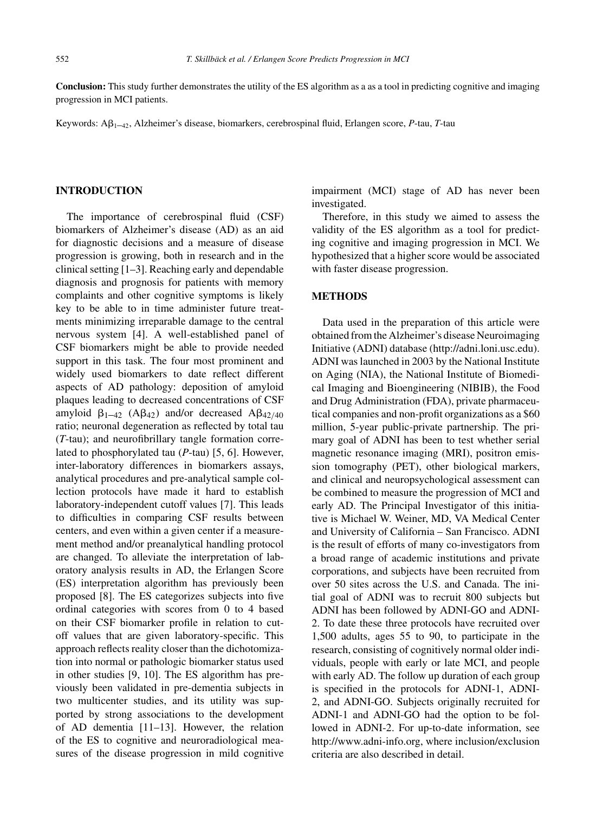**Conclusion:** This study further demonstrates the utility of the ES algorithm as a as a tool in predicting cognitive and imaging progression in MCI patients.

Keywords: A-1–42, Alzheimer's disease, biomarkers, cerebrospinal fluid, Erlangen score, *P*-tau, *T*-tau

## **INTRODUCTION**

The importance of cerebrospinal fluid (CSF) biomarkers of Alzheimer's disease (AD) as an aid for diagnostic decisions and a measure of disease progression is growing, both in research and in the clinical setting [1–3]. Reaching early and dependable diagnosis and prognosis for patients with memory complaints and other cognitive symptoms is likely key to be able to in time administer future treatments minimizing irreparable damage to the central nervous system [4]. A well-established panel of CSF biomarkers might be able to provide needed support in this task. The four most prominent and widely used biomarkers to date reflect different aspects of AD pathology: deposition of amyloid plaques leading to decreased concentrations of CSF amyloid  $\beta_{1-42}$  (A $\beta_{42}$ ) and/or decreased A $\beta_{42/40}$ ratio; neuronal degeneration as reflected by total tau (*T*-tau); and neurofibrillary tangle formation correlated to phosphorylated tau (*P*-tau) [5, 6]. However, inter-laboratory differences in biomarkers assays, analytical procedures and pre-analytical sample collection protocols have made it hard to establish laboratory-independent cutoff values [7]. This leads to difficulties in comparing CSF results between centers, and even within a given center if a measurement method and/or preanalytical handling protocol are changed. To alleviate the interpretation of laboratory analysis results in AD, the Erlangen Score (ES) interpretation algorithm has previously been proposed [8]. The ES categorizes subjects into five ordinal categories with scores from 0 to 4 based on their CSF biomarker profile in relation to cutoff values that are given laboratory-specific. This approach reflects reality closer than the dichotomization into normal or pathologic biomarker status used in other studies [9, 10]. The ES algorithm has previously been validated in pre-dementia subjects in two multicenter studies, and its utility was supported by strong associations to the development of AD dementia [11–13]. However, the relation of the ES to cognitive and neuroradiological measures of the disease progression in mild cognitive

impairment (MCI) stage of AD has never been investigated.

Therefore, in this study we aimed to assess the validity of the ES algorithm as a tool for predicting cognitive and imaging progression in MCI. We hypothesized that a higher score would be associated with faster disease progression.

## **METHODS**

Data used in the preparation of this article were obtained from the Alzheimer's disease Neuroimaging Initiative (ADNI) database (<http://adni.loni.usc.edu>). ADNI was launched in 2003 by the National Institute on Aging (NIA), the National Institute of Biomedical Imaging and Bioengineering (NIBIB), the Food and Drug Administration (FDA), private pharmaceutical companies and non-profit organizations as a \$60 million, 5-year public-private partnership. The primary goal of ADNI has been to test whether serial magnetic resonance imaging (MRI), positron emission tomography (PET), other biological markers, and clinical and neuropsychological assessment can be combined to measure the progression of MCI and early AD. The Principal Investigator of this initiative is Michael W. Weiner, MD, VA Medical Center and University of California – San Francisco. ADNI is the result of efforts of many co-investigators from a broad range of academic institutions and private corporations, and subjects have been recruited from over 50 sites across the U.S. and Canada. The initial goal of ADNI was to recruit 800 subjects but ADNI has been followed by ADNI-GO and ADNI-2. To date these three protocols have recruited over 1,500 adults, ages 55 to 90, to participate in the research, consisting of cognitively normal older individuals, people with early or late MCI, and people with early AD. The follow up duration of each group is specified in the protocols for ADNI-1, ADNI-2, and ADNI-GO. Subjects originally recruited for ADNI-1 and ADNI-GO had the option to be followed in ADNI-2. For up-to-date information, see <http://www.adni-info.org>, where inclusion/exclusion criteria are also described in detail.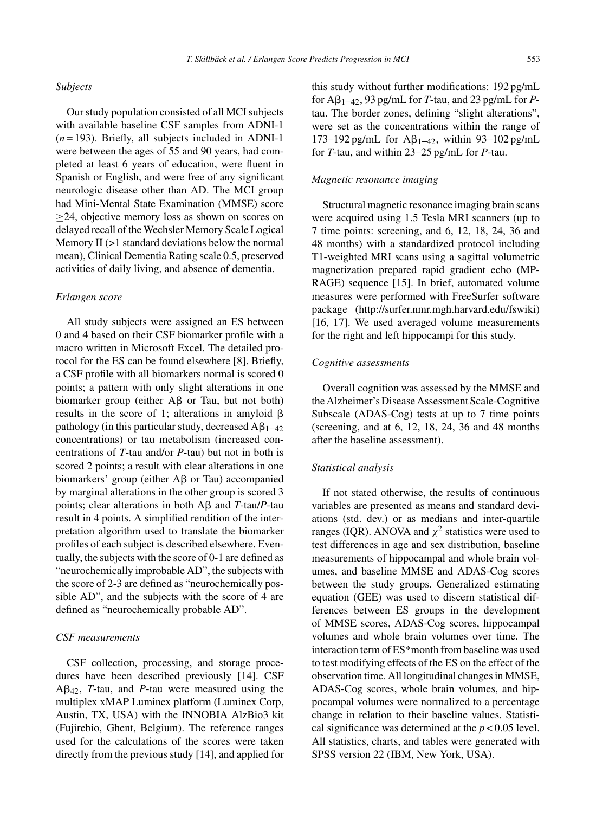#### *Subjects*

Our study population consisted of all MCI subjects with available baseline CSF samples from ADNI-1  $(n=193)$ . Briefly, all subjects included in ADNI-1 were between the ages of 55 and 90 years, had completed at least 6 years of education, were fluent in Spanish or English, and were free of any significant neurologic disease other than AD. The MCI group had Mini-Mental State Examination (MMSE) score  $\geq$ 24, objective memory loss as shown on scores on delayed recall of the Wechsler Memory Scale Logical Memory II (>1 standard deviations below the normal mean), Clinical Dementia Rating scale 0.5, preserved activities of daily living, and absence of dementia.

#### *Erlangen score*

All study subjects were assigned an ES between 0 and 4 based on their CSF biomarker profile with a macro written in Microsoft Excel. The detailed protocol for the ES can be found elsewhere [8]. Briefly, a CSF profile with all biomarkers normal is scored 0 points; a pattern with only slight alterations in one biomarker group (either  $A\beta$  or Tau, but not both) results in the score of 1; alterations in amyloid  $\beta$ pathology (in this particular study, decreased  $\mathbf{A}\beta_{1-42}$ concentrations) or tau metabolism (increased concentrations of *T*-tau and/or *P*-tau) but not in both is scored 2 points; a result with clear alterations in one biomarkers' group (either  $\text{A}\beta$  or Tau) accompanied by marginal alterations in the other group is scored 3 points; clear alterations in both  $\text{A}\beta$  and *T*-tau/*P*-tau result in 4 points. A simplified rendition of the interpretation algorithm used to translate the biomarker profiles of each subject is described elsewhere. Eventually, the subjects with the score of 0-1 are defined as "neurochemically improbable AD", the subjects with the score of 2-3 are defined as "neurochemically possible AD", and the subjects with the score of 4 are defined as "neurochemically probable AD".

## *CSF measurements*

CSF collection, processing, and storage procedures have been described previously [14]. CSF  $A\beta_{42}$ , *T*-tau, and *P*-tau were measured using the multiplex xMAP Luminex platform (Luminex Corp, Austin, TX, USA) with the INNOBIA AlzBio3 kit (Fujirebio, Ghent, Belgium). The reference ranges used for the calculations of the scores were taken directly from the previous study [14], and applied for this study without further modifications: 192 pg/mL for  $\mathbb{A}\beta_{1-42}$ , 93 pg/mL for *T*-tau, and 23 pg/mL for *P*tau. The border zones, defining "slight alterations", were set as the concentrations within the range of 173–192 pg/mL for  $A\beta_{1-42}$ , within 93–102 pg/mL for *T*-tau, and within 23–25 pg/mL for *P*-tau.

## *Magnetic resonance imaging*

Structural magnetic resonance imaging brain scans were acquired using 1.5 Tesla MRI scanners (up to 7 time points: screening, and 6, 12, 18, 24, 36 and 48 months) with a standardized protocol including T1-weighted MRI scans using a sagittal volumetric magnetization prepared rapid gradient echo (MP-RAGE) sequence [15]. In brief, automated volume measures were performed with FreeSurfer software package ([http://surfer.nmr.mgh.harvard.edu/fswiki\)](http://surfer.nmr.mgh.harvard.edu/fswiki) [16, 17]. We used averaged volume measurements for the right and left hippocampi for this study.

#### *Cognitive assessments*

Overall cognition was assessed by the MMSE and the Alzheimer's Disease Assessment Scale-Cognitive Subscale (ADAS-Cog) tests at up to 7 time points (screening, and at 6, 12, 18, 24, 36 and 48 months after the baseline assessment).

#### *Statistical analysis*

If not stated otherwise, the results of continuous variables are presented as means and standard deviations (std. dev.) or as medians and inter-quartile ranges (IQR). ANOVA and  $\chi^2$  statistics were used to test differences in age and sex distribution, baseline measurements of hippocampal and whole brain volumes, and baseline MMSE and ADAS-Cog scores between the study groups. Generalized estimating equation (GEE) was used to discern statistical differences between ES groups in the development of MMSE scores, ADAS-Cog scores, hippocampal volumes and whole brain volumes over time. The interaction term of ES\*month from baseline was used to test modifying effects of the ES on the effect of the observation time. All longitudinal changes in MMSE, ADAS-Cog scores, whole brain volumes, and hippocampal volumes were normalized to a percentage change in relation to their baseline values. Statistical significance was determined at the  $p < 0.05$  level. All statistics, charts, and tables were generated with SPSS version 22 (IBM, New York, USA).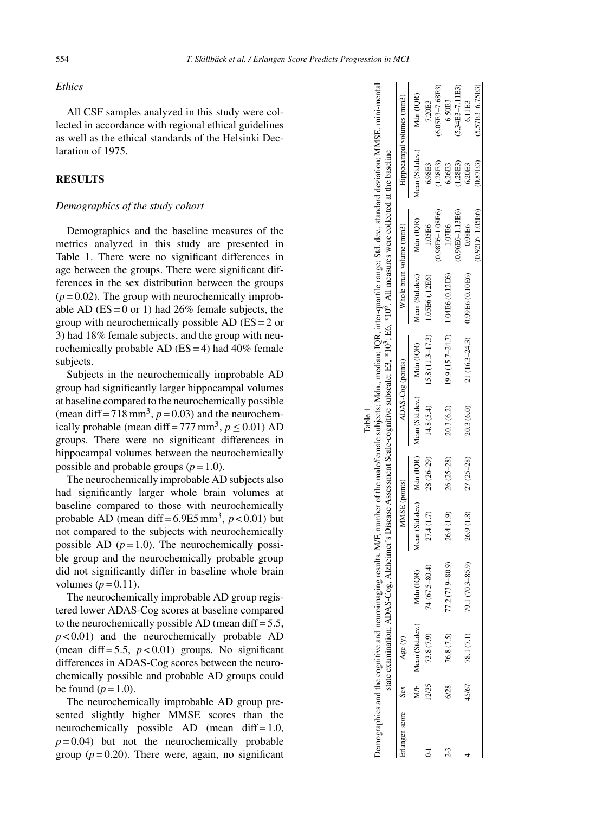## *Ethics*

All CSF samples analyzed in this study were collected in accordance with regional ethical guidelines as well as the ethical standards of the Helsinki Declaration of 1975.

## **RESULTS**

#### *Demographics of the study cohort*

Demographics and the baseline measures of the metrics analyzed in this study are presented in Table 1. There were no significant differences in age between the groups. There were significant differences in the sex distribution between the groups  $(p=0.02)$ . The group with neurochemically improbable AD ( $ES = 0$  or 1) had 26% female subjects, the group with neurochemically possible  $AD$  ( $ES = 2$  or 3) had 18% female subjects, and the group with neurochemically probable AD ( $ES = 4$ ) had  $40\%$  female subjects.

Subjects in the neurochemically improbable AD group had significantly larger hippocampal volumes at baseline compared to the neurochemically possible (mean diff =  $718 \text{ mm}^3$ ,  $p = 0.03$ ) and the neurochemically probable (mean diff =  $777 \text{ mm}^3$ ,  $p < 0.01$ ) AD groups. There were no significant differences in hippocampal volumes between the neurochemically possible and probable groups  $(p = 1.0)$ .

The neurochemically improbable AD subjects also had significantly larger whole brain volumes at baseline compared to those with neurochemically probable AD (mean diff =  $6.9E5 \text{ mm}^3$ ,  $p < 0.01$ ) but not compared to the subjects with neurochemically possible AD  $(p=1.0)$ . The neurochemically possible group and the neurochemically probable group did not significantly differ in baseline whole brain volumes  $(p=0.11)$ .

The neurochemically improbable AD group registered lower ADAS-Cog scores at baseline compared to the neurochemically possible AD (mean diff = 5.5,  $p < 0.01$ ) and the neurochemically probable AD (mean diff = 5.5,  $p < 0.01$ ) groups. No significant differences in ADAS-Cog scores between the neurochemically possible and probable AD groups could be found  $(p = 1.0)$ .

The neurochemically improbable AD group presented slightly higher MMSE scores than the neurochemically possible  $AD$  (mean diff = 1.0,  $p = 0.04$ ) but not the neurochemically probable group  $(p=0.20)$ . There were, again, no significant

|                   |       |                              |                     |               |             | Table 1    |                                                           |                                  |                                                                                                                                                                                                                                                                                                                                                                                |          |                           |
|-------------------|-------|------------------------------|---------------------|---------------|-------------|------------|-----------------------------------------------------------|----------------------------------|--------------------------------------------------------------------------------------------------------------------------------------------------------------------------------------------------------------------------------------------------------------------------------------------------------------------------------------------------------------------------------|----------|---------------------------|
|                   |       |                              |                     |               |             |            |                                                           |                                  | Demographics and the cognitive and neuroimaging results. M/F, number of the male/female subjects; Mdn., median; IQR, inter-quartile range; Std. dev., standard deviation; MMSE, mini-mental<br>state examination; ADAS-Cog, Alzheimer's Disease Assessment Scale-cognitive subscale; E3, *10 <sup>3</sup> ; E6, *10 <sup>6</sup> . All measures were collected at the baseline |          |                           |
| rlangen score Sex |       | Age $(y)$                    |                     | MMSE (points) |             |            | ADAS-Cog (points)                                         |                                  | Whole brain volume (mm3)                                                                                                                                                                                                                                                                                                                                                       |          | Hippocampal volumes (mm3) |
|                   |       | MF Mean (Std.dev.) Mdn (IQR) |                     |               |             |            |                                                           |                                  | Mean (Std.dev.) Mdn (IQR.) Mean (Std.dev.) Mcan (Std.dev.) Mcan (Std.dev.) Mdn (IQR) Mean (Std.dev.) Mdn (IQR)                                                                                                                                                                                                                                                                 |          |                           |
|                   | 12/35 | 73.8 (7.9)                   | 74 (67.5-80.4)      | 27.4 (1.7)    |             |            | $28(26-29)$ $14.8(5.4)$ $15.8(11.3-17.3)$ $1.05E6(.12E6)$ |                                  | 1.05E6                                                                                                                                                                                                                                                                                                                                                                         | 6.98E3   | 7.20E3                    |
|                   |       |                              |                     |               |             |            |                                                           |                                  | $0.98E6 - 1.08E6$                                                                                                                                                                                                                                                                                                                                                              | 1.28E3   | $(6.05E3 - 7.68E3)$       |
|                   | 6/28  | 76.8 (7.5)                   | $77.2(73.9 - 80.9)$ | 26.4 (1.9)    | $26(25-28)$ | 20.3 (6.2) |                                                           | 19.9 (15.7-24.7) 1.04E6 (0.12E6) | 1.07E6                                                                                                                                                                                                                                                                                                                                                                         | 6.26E3   | 6.50E3                    |
|                   |       |                              |                     |               |             |            |                                                           |                                  | $0.96E6 - 1.13E6$                                                                                                                                                                                                                                                                                                                                                              | 1.28E3)  | $(5.34E3 - 7.11E3)$       |
|                   | 45/67 | 78.1 (7.1)                   | 79.1 (70.3-85.9)    | 26.9 (1.8)    | $27(25-28)$ | 20.3 (6.0) |                                                           | $21(16.3-24.3)$ 0.99E6 (0.10E6)  | 0.98E6                                                                                                                                                                                                                                                                                                                                                                         | 6.20E3   | 6.11E3                    |
|                   |       |                              |                     |               |             |            |                                                           |                                  | $0.92E6 - 1.05E6$                                                                                                                                                                                                                                                                                                                                                              | (0.87E3) | $(5.57E3 - 6.75E3)$       |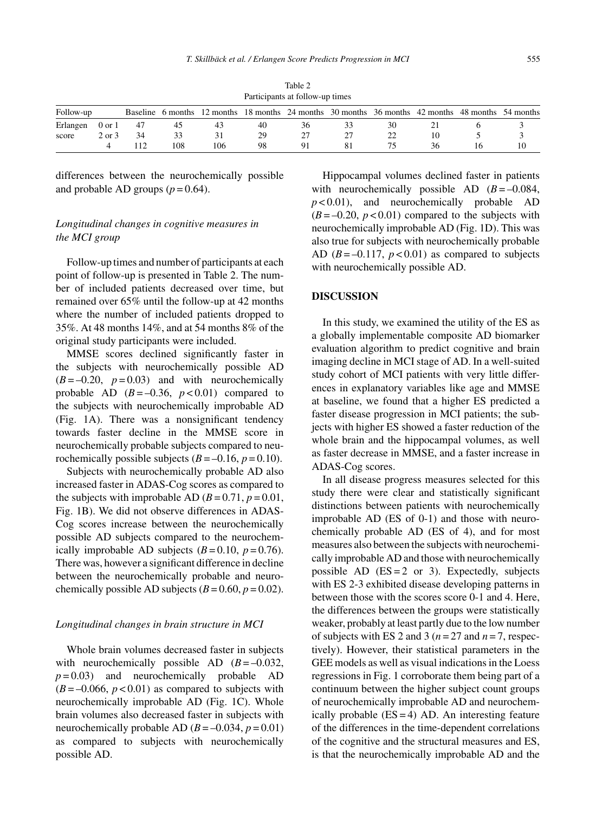| Tarticipants at follow ap thirds |                   |    |     |                                                                                                   |    |     |  |    |    |  |    |
|----------------------------------|-------------------|----|-----|---------------------------------------------------------------------------------------------------|----|-----|--|----|----|--|----|
| Follow-up                        |                   |    |     | Baseline 6 months 12 months 18 months 24 months 30 months 36 months 42 months 48 months 54 months |    |     |  |    |    |  |    |
| Erlangen                         | $0 \text{ or } 1$ | 47 |     | 45                                                                                                | 40 | -56 |  | 30 |    |  |    |
| score                            | 2 or 3            |    |     |                                                                                                   | 29 |     |  |    |    |  |    |
|                                  |                   |    | 108 | 106                                                                                               | 98 |     |  |    | 36 |  | 10 |

Table 2 Participants at follow-up times

differences between the neurochemically possible and probable AD groups  $(p=0.64)$ .

## *Longitudinal changes in cognitive measures in the MCI group*

Follow-up times and number of participants at each point of follow-up is presented in Table 2. The number of included patients decreased over time, but remained over 65% until the follow-up at 42 months where the number of included patients dropped to 35%. At 48 months 14%, and at 54 months 8% of the original study participants were included.

MMSE scores declined significantly faster in the subjects with neurochemically possible AD  $(B=-0.20, p=0.03)$  and with neurochemically probable AD  $(B=-0.36, p<0.01)$  compared to the subjects with neurochemically improbable AD (Fig. 1A). There was a nonsignificant tendency towards faster decline in the MMSE score in neurochemically probable subjects compared to neurochemically possible subjects  $(B = -0.16, p = 0.10)$ .

Subjects with neurochemically probable AD also increased faster in ADAS-Cog scores as compared to the subjects with improbable AD  $(B = 0.71, p = 0.01,$ Fig. 1B). We did not observe differences in ADAS-Cog scores increase between the neurochemically possible AD subjects compared to the neurochemically improbable AD subjects  $(B=0.10, p=0.76)$ . There was, however a significant difference in decline between the neurochemically probable and neurochemically possible AD subjects  $(B = 0.60, p = 0.02)$ .

#### *Longitudinal changes in brain structure in MCI*

Whole brain volumes decreased faster in subjects with neurochemically possible AD  $(B=-0.032)$ ,  $p = 0.03$ ) and neurochemically probable AD  $(B = -0.066, p < 0.01)$  as compared to subjects with neurochemically improbable AD (Fig. 1C). Whole brain volumes also decreased faster in subjects with neurochemically probable AD  $(B = -0.034, p = 0.01)$ as compared to subjects with neurochemically possible AD.

Hippocampal volumes declined faster in patients with neurochemically possible AD  $(B = -0.084,$ *p* < 0.01), and neurochemically probable AD  $(B=-0.20, p<0.01)$  compared to the subjects with neurochemically improbable AD (Fig. 1D). This was also true for subjects with neurochemically probable AD  $(B=-0.117, p<0.01)$  as compared to subjects with neurochemically possible AD.

## **DISCUSSION**

In this study, we examined the utility of the ES as a globally implementable composite AD biomarker evaluation algorithm to predict cognitive and brain imaging decline in MCI stage of AD. In a well-suited study cohort of MCI patients with very little differences in explanatory variables like age and MMSE at baseline, we found that a higher ES predicted a faster disease progression in MCI patients; the subjects with higher ES showed a faster reduction of the whole brain and the hippocampal volumes, as well as faster decrease in MMSE, and a faster increase in ADAS-Cog scores.

In all disease progress measures selected for this study there were clear and statistically significant distinctions between patients with neurochemically improbable AD (ES of 0-1) and those with neurochemically probable AD (ES of 4), and for most measures also between the subjects with neurochemically improbable AD and those with neurochemically possible AD  $(ES = 2 \text{ or } 3)$ . Expectedly, subjects with ES 2-3 exhibited disease developing patterns in between those with the scores score 0-1 and 4. Here, the differences between the groups were statistically weaker, probably at least partly due to the low number of subjects with ES 2 and 3 ( $n = 27$  and  $n = 7$ , respectively). However, their statistical parameters in the GEE models as well as visual indications in the Loess regressions in Fig. 1 corroborate them being part of a continuum between the higher subject count groups of neurochemically improbable AD and neurochemically probable  $(ES = 4)$  AD. An interesting feature of the differences in the time-dependent correlations of the cognitive and the structural measures and ES, is that the neurochemically improbable AD and the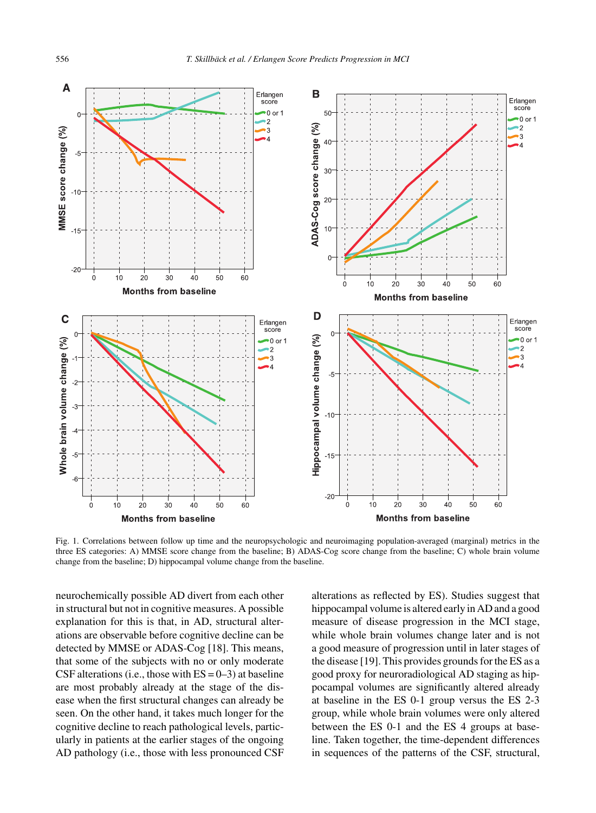

Fig. 1. Correlations between follow up time and the neuropsychologic and neuroimaging population-averaged (marginal) metrics in the three ES categories: A) MMSE score change from the baseline; B) ADAS-Cog score change from the baseline; C) whole brain volume change from the baseline; D) hippocampal volume change from the baseline.

neurochemically possible AD divert from each other in structural but not in cognitive measures. A possible explanation for this is that, in AD, structural alterations are observable before cognitive decline can be detected by MMSE or ADAS-Cog [18]. This means, that some of the subjects with no or only moderate CSF alterations (i.e., those with  $ES = 0-3$ ) at baseline are most probably already at the stage of the disease when the first structural changes can already be seen. On the other hand, it takes much longer for the cognitive decline to reach pathological levels, particularly in patients at the earlier stages of the ongoing AD pathology (i.e., those with less pronounced CSF

alterations as reflected by ES). Studies suggest that hippocampal volume is altered early in AD and a good measure of disease progression in the MCI stage, while whole brain volumes change later and is not a good measure of progression until in later stages of the disease [19]. This provides grounds for the ES as a good proxy for neuroradiological AD staging as hippocampal volumes are significantly altered already at baseline in the ES 0-1 group versus the ES 2-3 group, while whole brain volumes were only altered between the ES 0-1 and the ES 4 groups at baseline. Taken together, the time-dependent differences in sequences of the patterns of the CSF, structural,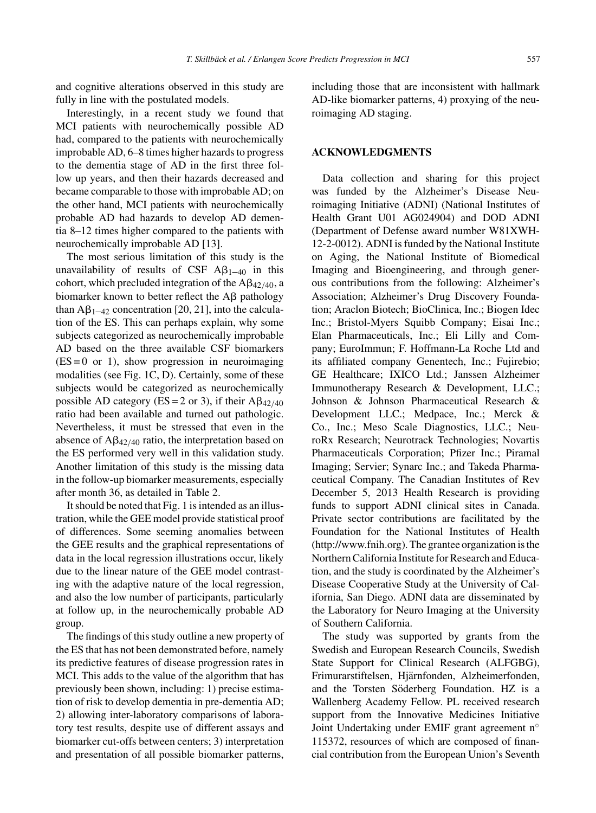and cognitive alterations observed in this study are fully in line with the postulated models.

Interestingly, in a recent study we found that MCI patients with neurochemically possible AD had, compared to the patients with neurochemically improbable AD, 6–8 times higher hazards to progress to the dementia stage of AD in the first three follow up years, and then their hazards decreased and became comparable to those with improbable AD; on the other hand, MCI patients with neurochemically probable AD had hazards to develop AD dementia 8–12 times higher compared to the patients with neurochemically improbable AD [13].

The most serious limitation of this study is the unavailability of results of CSF  $\mathbf{A}\beta_{1-40}$  in this cohort, which precluded integration of the  $\text{A}\beta_{42/40}$ , a biomarker known to better reflect the  $\mathsf{A}\beta$  pathology than  $\mathbf{A}\beta_{1-42}$  concentration [20, 21], into the calculation of the ES. This can perhaps explain, why some subjects categorized as neurochemically improbable AD based on the three available CSF biomarkers  $(ES = 0 \text{ or } 1)$ , show progression in neuroimaging modalities (see Fig. 1C, D). Certainly, some of these subjects would be categorized as neurochemically possible AD category (ES = 2 or 3), if their  $\text{A}\beta_{42/40}$ ratio had been available and turned out pathologic. Nevertheless, it must be stressed that even in the absence of  $A\beta_{42/40}$  ratio, the interpretation based on the ES performed very well in this validation study. Another limitation of this study is the missing data in the follow-up biomarker measurements, especially after month 36, as detailed in Table 2.

It should be noted that Fig. 1 is intended as an illustration, while the GEE model provide statistical proof of differences. Some seeming anomalies between the GEE results and the graphical representations of data in the local regression illustrations occur, likely due to the linear nature of the GEE model contrasting with the adaptive nature of the local regression, and also the low number of participants, particularly at follow up, in the neurochemically probable AD group.

The findings of this study outline a new property of the ES that has not been demonstrated before, namely its predictive features of disease progression rates in MCI. This adds to the value of the algorithm that has previously been shown, including: 1) precise estimation of risk to develop dementia in pre-dementia AD; 2) allowing inter-laboratory comparisons of laboratory test results, despite use of different assays and biomarker cut-offs between centers; 3) interpretation and presentation of all possible biomarker patterns,

including those that are inconsistent with hallmark AD-like biomarker patterns, 4) proxying of the neuroimaging AD staging.

## **ACKNOWLEDGMENTS**

Data collection and sharing for this project was funded by the Alzheimer's Disease Neuroimaging Initiative (ADNI) (National Institutes of Health Grant U01 AG024904) and DOD ADNI (Department of Defense award number W81XWH-12-2-0012). ADNI is funded by the National Institute on Aging, the National Institute of Biomedical Imaging and Bioengineering, and through generous contributions from the following: Alzheimer's Association; Alzheimer's Drug Discovery Foundation; Araclon Biotech; BioClinica, Inc.; Biogen Idec Inc.; Bristol-Myers Squibb Company; Eisai Inc.; Elan Pharmaceuticals, Inc.; Eli Lilly and Company; EuroImmun; F. Hoffmann-La Roche Ltd and its affiliated company Genentech, Inc.; Fujirebio; GE Healthcare; IXICO Ltd.; Janssen Alzheimer Immunotherapy Research & Development, LLC.; Johnson & Johnson Pharmaceutical Research & Development LLC.; Medpace, Inc.; Merck & Co., Inc.; Meso Scale Diagnostics, LLC.; NeuroRx Research; Neurotrack Technologies; Novartis Pharmaceuticals Corporation; Pfizer Inc.; Piramal Imaging; Servier; Synarc Inc.; and Takeda Pharmaceutical Company. The Canadian Institutes of Rev December 5, 2013 Health Research is providing funds to support ADNI clinical sites in Canada. Private sector contributions are facilitated by the Foundation for the National Institutes of Health [\(http://www.fnih.org](http://www.fnih.org)). The grantee organization is the Northern California Institute for Research and Education, and the study is coordinated by the Alzheimer's Disease Cooperative Study at the University of California, San Diego. ADNI data are disseminated by the Laboratory for Neuro Imaging at the University of Southern California.

The study was supported by grants from the Swedish and European Research Councils, Swedish State Support for Clinical Research (ALFGBG), Frimurarstiftelsen, Hjärnfonden, Alzheimerfonden, and the Torsten Söderberg Foundation. HZ is a Wallenberg Academy Fellow. PL received research support from the Innovative Medicines Initiative Joint Undertaking under EMIF grant agreement n◦ 115372, resources of which are composed of financial contribution from the European Union's Seventh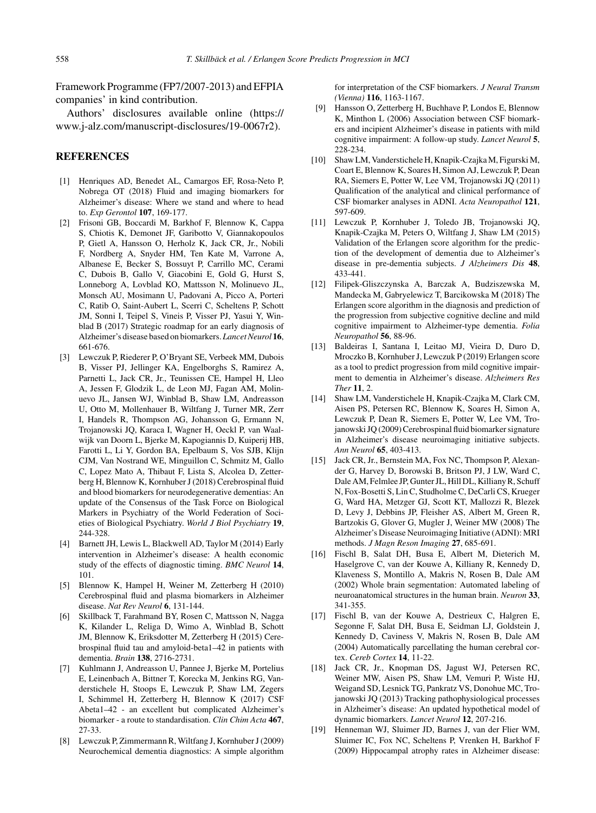Framework Programme (FP7/2007-2013) and EFPIA companies' in kind contribution.

Authors' disclosures available online ([https://](https://www.j-alz.com/manuscript-disclosures/19-0067r2) [www.j-alz.com/manuscript-disclosures/19-0067r2\)](https://www.j-alz.com/manuscript-disclosures/19-0067r2).

#### **REFERENCES**

- [1] Henriques AD, Benedet AL, Camargos EF, Rosa-Neto P, Nobrega OT (2018) Fluid and imaging biomarkers for Alzheimer's disease: Where we stand and where to head to. *Exp Gerontol* **107**, 169-177.
- [2] Frisoni GB, Boccardi M, Barkhof F, Blennow K, Cappa S, Chiotis K, Demonet JF, Garibotto V, Giannakopoulos P, Gietl A, Hansson O, Herholz K, Jack CR, Jr., Nobili F, Nordberg A, Snyder HM, Ten Kate M, Varrone A, Albanese E, Becker S, Bossuyt P, Carrillo MC, Cerami C, Dubois B, Gallo V, Giacobini E, Gold G, Hurst S, Lonneborg A, Lovblad KO, Mattsson N, Molinuevo JL, Monsch AU, Mosimann U, Padovani A, Picco A, Porteri C, Ratib O, Saint-Aubert L, Scerri C, Scheltens P, Schott JM, Sonni I, Teipel S, Vineis P, Visser PJ, Yasui Y, Winblad B (2017) Strategic roadmap for an early diagnosis of Alzheimer's disease based on biomarkers. *Lancet Neurol* **16**, 661-676.
- [3] Lewczuk P, Riederer P, O'Bryant SE, Verbeek MM, Dubois B, Visser PJ, Jellinger KA, Engelborghs S, Ramirez A, Parnetti L, Jack CR, Jr., Teunissen CE, Hampel H, Lleo A, Jessen F, Glodzik L, de Leon MJ, Fagan AM, Molinuevo JL, Jansen WJ, Winblad B, Shaw LM, Andreasson U, Otto M, Mollenhauer B, Wiltfang J, Turner MR, Zerr I, Handels R, Thompson AG, Johansson G, Ermann N, Trojanowski JQ, Karaca I, Wagner H, Oeckl P, van Waalwijk van Doorn L, Bjerke M, Kapogiannis D, Kuiperij HB, Farotti L, Li Y, Gordon BA, Epelbaum S, Vos SJB, Klijn CJM, Van Nostrand WE, Minguillon C, Schmitz M, Gallo C, Lopez Mato A, Thibaut F, Lista S, Alcolea D, Zetterberg H, Blennow K, Kornhuber J (2018) Cerebrospinal fluid and blood biomarkers for neurodegenerative dementias: An update of the Consensus of the Task Force on Biological Markers in Psychiatry of the World Federation of Societies of Biological Psychiatry. *World J Biol Psychiatry* **19**, 244-328.
- [4] Barnett JH, Lewis L, Blackwell AD, Taylor M (2014) Early intervention in Alzheimer's disease: A health economic study of the effects of diagnostic timing. *BMC Neurol* **14**, 101.
- [5] Blennow K, Hampel H, Weiner M, Zetterberg H (2010) Cerebrospinal fluid and plasma biomarkers in Alzheimer disease. *Nat Rev Neurol* **6**, 131-144.
- [6] Skillback T, Farahmand BY, Rosen C, Mattsson N, Nagga K, Kilander L, Religa D, Wimo A, Winblad B, Schott JM, Blennow K, Eriksdotter M, Zetterberg H (2015) Cerebrospinal fluid tau and amyloid-beta1–42 in patients with dementia. *Brain* **138**, 2716-2731.
- [7] Kuhlmann J, Andreasson U, Pannee J, Bjerke M, Portelius E, Leinenbach A, Bittner T, Korecka M, Jenkins RG, Vanderstichele H, Stoops E, Lewczuk P, Shaw LM, Zegers I, Schimmel H, Zetterberg H, Blennow K (2017) CSF Abeta1–42 - an excellent but complicated Alzheimer's biomarker - a route to standardisation. *Clin Chim Acta* **467**, 27-33.
- [8] Lewczuk P, Zimmermann R, Wiltfang J, Kornhuber J (2009) Neurochemical dementia diagnostics: A simple algorithm

for interpretation of the CSF biomarkers. *J Neural Transm (Vienna)* **116**, 1163-1167.

- [9] Hansson O, Zetterberg H, Buchhave P, Londos E, Blennow K, Minthon L (2006) Association between CSF biomarkers and incipient Alzheimer's disease in patients with mild cognitive impairment: A follow-up study. *Lancet Neurol* **5**, 228-234
- [10] Shaw LM, Vanderstichele H, Knapik-Czajka M, Figurski M, Coart E, Blennow K, Soares H, Simon AJ, Lewczuk P, Dean RA, Siemers E, Potter W, Lee VM, Trojanowski JQ (2011) Qualification of the analytical and clinical performance of CSF biomarker analyses in ADNI. *Acta Neuropathol* **121**, 597-609.
- [11] Lewczuk P, Kornhuber J, Toledo JB, Trojanowski JQ, Knapik-Czajka M, Peters O, Wiltfang J, Shaw LM (2015) Validation of the Erlangen score algorithm for the prediction of the development of dementia due to Alzheimer's disease in pre-dementia subjects. *J Alzheimers Dis* **48**, 433-441.
- [12] Filipek-Gliszczynska A, Barczak A, Budziszewska M, Mandecka M, Gabryelewicz T, Barcikowska M (2018) The Erlangen score algorithm in the diagnosis and prediction of the progression from subjective cognitive decline and mild cognitive impairment to Alzheimer-type dementia. *Folia Neuropathol* **56**, 88-96.
- [13] Baldeiras I, Santana I, Leitao MJ, Vieira D, Duro D, Mroczko B, Kornhuber J, Lewczuk P (2019) Erlangen score as a tool to predict progression from mild cognitive impairment to dementia in Alzheimer's disease. *Alzheimers Res Ther* **11**, 2.
- [14] Shaw LM, Vanderstichele H, Knapik-Czajka M, Clark CM, Aisen PS, Petersen RC, Blennow K, Soares H, Simon A, Lewczuk P, Dean R, Siemers E, Potter W, Lee VM, Trojanowski JQ (2009) Cerebrospinal fluid biomarker signature in Alzheimer's disease neuroimaging initiative subjects. *Ann Neurol* **65**, 403-413.
- [15] Jack CR, Jr., Bernstein MA, Fox NC, Thompson P, Alexander G, Harvey D, Borowski B, Britson PJ, J LW, Ward C, Dale AM, Felmlee JP, Gunter JL, Hill DL, Killiany R, Schuff N, Fox-Bosetti S, Lin C, Studholme C, DeCarli CS, Krueger G, Ward HA, Metzger GJ, Scott KT, Mallozzi R, Blezek D, Levy J, Debbins JP, Fleisher AS, Albert M, Green R, Bartzokis G, Glover G, Mugler J, Weiner MW (2008) The Alzheimer's Disease Neuroimaging Initiative (ADNI): MRI methods. *J Magn Reson Imaging* **27**, 685-691.
- [16] Fischl B, Salat DH, Busa E, Albert M, Dieterich M, Haselgrove C, van der Kouwe A, Killiany R, Kennedy D, Klaveness S, Montillo A, Makris N, Rosen B, Dale AM (2002) Whole brain segmentation: Automated labeling of neuroanatomical structures in the human brain. *Neuron* **33**, 341-355.
- [17] Fischl B, van der Kouwe A, Destrieux C, Halgren E, Segonne F, Salat DH, Busa E, Seidman LJ, Goldstein J, Kennedy D, Caviness V, Makris N, Rosen B, Dale AM (2004) Automatically parcellating the human cerebral cortex. *Cereb Cortex* **14**, 11-22.
- [18] Jack CR, Jr., Knopman DS, Jagust WJ, Petersen RC, Weiner MW, Aisen PS, Shaw LM, Vemuri P, Wiste HJ, Weigand SD, Lesnick TG, Pankratz VS, Donohue MC, Trojanowski JQ (2013) Tracking pathophysiological processes in Alzheimer's disease: An updated hypothetical model of dynamic biomarkers. *Lancet Neurol* **12**, 207-216.
- [19] Henneman WJ, Sluimer JD, Barnes J, van der Flier WM, Sluimer IC, Fox NC, Scheltens P, Vrenken H, Barkhof F (2009) Hippocampal atrophy rates in Alzheimer disease: